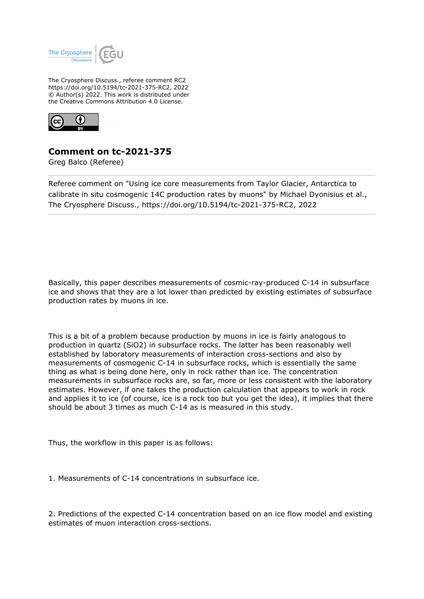

The Cryosphere Discuss., referee comment RC2 https://doi.org/10.5194/tc-2021-375-RC2, 2022 © Author(s) 2022. This work is distributed under the Creative Commons Attribution 4.0 License.



## **Comment on tc-2021-375**

Greg Balco (Referee)

Referee comment on "Using ice core measurements from Taylor Glacier, Antarctica to calibrate in situ cosmogenic 14C production rates by muons" by Michael Dyonisius et al., The Cryosphere Discuss., https://doi.org/10.5194/tc-2021-375-RC2, 2022

Basically, this paper describes measurements of cosmic-ray-produced C-14 in subsurface ice and shows that they are a lot lower than predicted by existing estimates of subsurface production rates by muons in ice.

This is a bit of a problem because production by muons in ice is fairly analogous to production in quartz (SiO2) in subsurface rocks. The latter has been reasonably well established by laboratory measurements of interaction cross-sections and also by measurements of cosmogenic C-14 in subsurface rocks, which is essentially the same thing as what is being done here, only in rock rather than ice. The concentration measurements in subsurface rocks are, so far, more or less consistent with the laboratory estimates. However, if one takes the production calculation that appears to work in rock and applies it to ice (of course, ice is a rock too but you get the idea), it implies that there should be about 3 times as much C-14 as is measured in this study.

Thus, the workflow in this paper is as follows:

1. Measurements of C-14 concentrations in subsurface ice.

2. Predictions of the expected C-14 concentration based on an ice flow model and existing estimates of muon interaction cross-sections.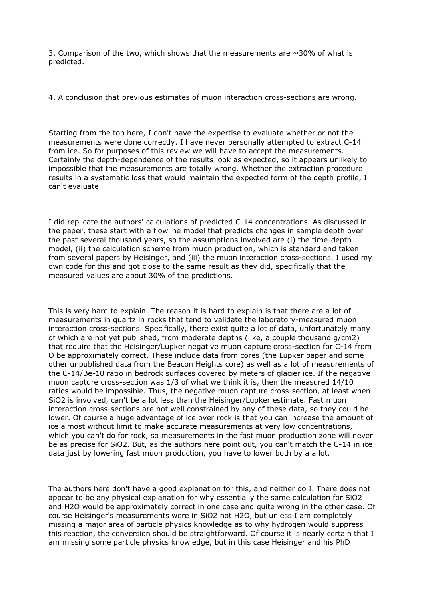3. Comparison of the two, which shows that the measurements are  $\sim$ 30% of what is predicted.

4. A conclusion that previous estimates of muon interaction cross-sections are wrong.

Starting from the top here, I don't have the expertise to evaluate whether or not the measurements were done correctly. I have never personally attempted to extract C-14 from ice. So for purposes of this review we will have to accept the measurements. Certainly the depth-dependence of the results look as expected, so it appears unlikely to impossible that the measurements are totally wrong. Whether the extraction procedure results in a systematic loss that would maintain the expected form of the depth profile, I can't evaluate.

I did replicate the authors' calculations of predicted C-14 concentrations. As discussed in the paper, these start with a flowline model that predicts changes in sample depth over the past several thousand years, so the assumptions involved are (i) the time-depth model, (ii) the calculation scheme from muon production, which is standard and taken from several papers by Heisinger, and (iii) the muon interaction cross-sections. I used my own code for this and got close to the same result as they did, specifically that the measured values are about 30% of the predictions.

This is very hard to explain. The reason it is hard to explain is that there are a lot of measurements in quartz in rocks that tend to validate the laboratory-measured muon interaction cross-sections. Specifically, there exist quite a lot of data, unfortunately many of which are not yet published, from moderate depths (like, a couple thousand g/cm2) that require that the Heisinger/Lupker negative muon capture cross-section for C-14 from O be approximately correct. These include data from cores (the Lupker paper and some other unpublished data from the Beacon Heights core) as well as a lot of measurements of the C-14/Be-10 ratio in bedrock surfaces covered by meters of glacier ice. If the negative muon capture cross-section was 1/3 of what we think it is, then the measured 14/10 ratios would be impossible. Thus, the negative muon capture cross-section, at least when SiO2 is involved, can't be a lot less than the Heisinger/Lupker estimate. Fast muon interaction cross-sections are not well constrained by any of these data, so they could be lower. Of course a huge advantage of ice over rock is that you can increase the amount of ice almost without limit to make accurate measurements at very low concentrations, which you can't do for rock, so measurements in the fast muon production zone will never be as precise for SiO2. But, as the authors here point out, you can't match the C-14 in ice data just by lowering fast muon production, you have to lower both by a a lot.

The authors here don't have a good explanation for this, and neither do I. There does not appear to be any physical explanation for why essentially the same calculation for SiO2 and H2O would be approximately correct in one case and quite wrong in the other case. Of course Heisinger's measurements were in SiO2 not H2O, but unless I am completely missing a major area of particle physics knowledge as to why hydrogen would suppress this reaction, the conversion should be straightforward. Of course it is nearly certain that I am missing some particle physics knowledge, but in this case Heisinger and his PhD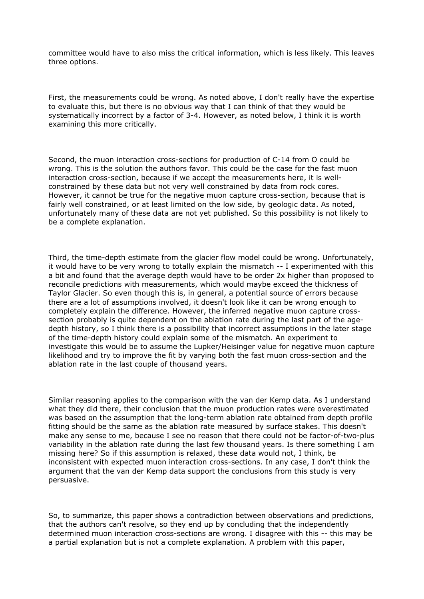committee would have to also miss the critical information, which is less likely. This leaves three options.

First, the measurements could be wrong. As noted above, I don't really have the expertise to evaluate this, but there is no obvious way that I can think of that they would be systematically incorrect by a factor of 3-4. However, as noted below, I think it is worth examining this more critically.

Second, the muon interaction cross-sections for production of C-14 from O could be wrong. This is the solution the authors favor. This could be the case for the fast muon interaction cross-section, because if we accept the measurements here, it is wellconstrained by these data but not very well constrained by data from rock cores. However, it cannot be true for the negative muon capture cross-section, because that is fairly well constrained, or at least limited on the low side, by geologic data. As noted, unfortunately many of these data are not yet published. So this possibility is not likely to be a complete explanation.

Third, the time-depth estimate from the glacier flow model could be wrong. Unfortunately, it would have to be very wrong to totally explain the mismatch -- I experimented with this a bit and found that the average depth would have to be order 2x higher than proposed to reconcile predictions with measurements, which would maybe exceed the thickness of Taylor Glacier. So even though this is, in general, a potential source of errors because there are a lot of assumptions involved, it doesn't look like it can be wrong enough to completely explain the difference. However, the inferred negative muon capture crosssection probably is quite dependent on the ablation rate during the last part of the agedepth history, so I think there is a possibility that incorrect assumptions in the later stage of the time-depth history could explain some of the mismatch. An experiment to investigate this would be to assume the Lupker/Heisinger value for negative muon capture likelihood and try to improve the fit by varying both the fast muon cross-section and the ablation rate in the last couple of thousand years.

Similar reasoning applies to the comparison with the van der Kemp data. As I understand what they did there, their conclusion that the muon production rates were overestimated was based on the assumption that the long-term ablation rate obtained from depth profile fitting should be the same as the ablation rate measured by surface stakes. This doesn't make any sense to me, because I see no reason that there could not be factor-of-two-plus variability in the ablation rate during the last few thousand years. Is there something I am missing here? So if this assumption is relaxed, these data would not, I think, be inconsistent with expected muon interaction cross-sections. In any case, I don't think the argument that the van der Kemp data support the conclusions from this study is very persuasive.

So, to summarize, this paper shows a contradiction between observations and predictions, that the authors can't resolve, so they end up by concluding that the independently determined muon interaction cross-sections are wrong. I disagree with this -- this may be a partial explanation but is not a complete explanation. A problem with this paper,